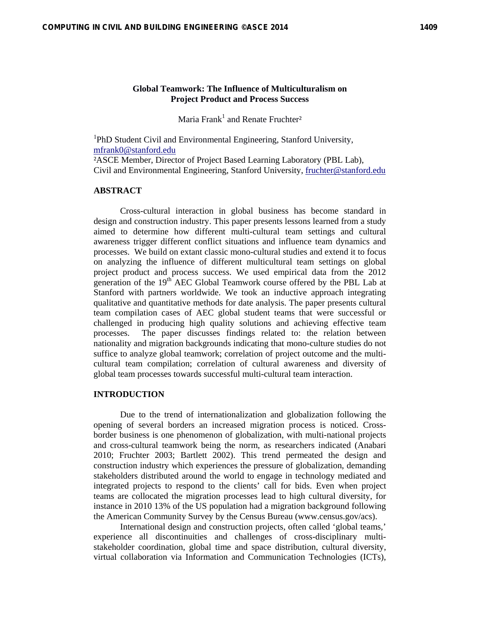# **Global Teamwork: The Influence of Multiculturalism on Project Product and Process Success**

Maria Frank<sup>1</sup> and Renate Fruchter<sup>2</sup>

<sup>1</sup>PhD Student Civil and Environmental Engineering, Stanford University, mfrank0@stanford.edu ²ASCE Member, Director of Project Based Learning Laboratory (PBL Lab), Civil and Environmental Engineering, Stanford University, fruchter@stanford.edu

### **ABSTRACT**

Cross-cultural interaction in global business has become standard in design and construction industry. This paper presents lessons learned from a study aimed to determine how different multi-cultural team settings and cultural awareness trigger different conflict situations and influence team dynamics and processes. We build on extant classic mono-cultural studies and extend it to focus on analyzing the influence of different multicultural team settings on global project product and process success. We used empirical data from the 2012 generation of the 19<sup>th</sup> AEC Global Teamwork course offered by the PBL Lab at Stanford with partners worldwide. We took an inductive approach integrating qualitative and quantitative methods for date analysis. The paper presents cultural team compilation cases of AEC global student teams that were successful or challenged in producing high quality solutions and achieving effective team processes. The paper discusses findings related to: the relation between nationality and migration backgrounds indicating that mono-culture studies do not suffice to analyze global teamwork; correlation of project outcome and the multicultural team compilation; correlation of cultural awareness and diversity of global team processes towards successful multi-cultural team interaction.

# **INTRODUCTION**

Due to the trend of internationalization and globalization following the opening of several borders an increased migration process is noticed. Crossborder business is one phenomenon of globalization, with multi-national projects and cross-cultural teamwork being the norm, as researchers indicated (Anabari 2010; Fruchter 2003; Bartlett 2002). This trend permeated the design and construction industry which experiences the pressure of globalization, demanding stakeholders distributed around the world to engage in technology mediated and integrated projects to respond to the clients' call for bids. Even when project teams are collocated the migration processes lead to high cultural diversity, for instance in 2010 13% of the US population had a migration background following the American Community Survey by the Census Bureau (www.census.gov/acs).

International design and construction projects, often called 'global teams,' experience all discontinuities and challenges of cross-disciplinary multistakeholder coordination, global time and space distribution, cultural diversity, virtual collaboration via Information and Communication Technologies (ICTs),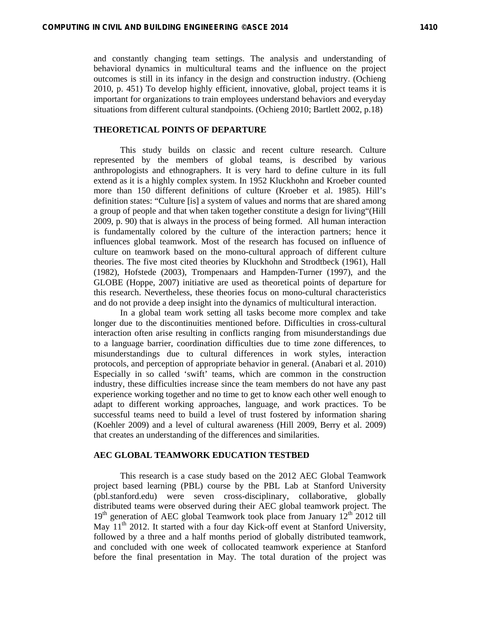and constantly changing team settings. The analysis and understanding of behavioral dynamics in multicultural teams and the influence on the project outcomes is still in its infancy in the design and construction industry. (Ochieng 2010, p. 451) To develop highly efficient, innovative, global, project teams it is important for organizations to train employees understand behaviors and everyday situations from different cultural standpoints. (Ochieng 2010; Bartlett 2002, p.18)

# **THEORETICAL POINTS OF DEPARTURE**

This study builds on classic and recent culture research. Culture represented by the members of global teams, is described by various anthropologists and ethnographers. It is very hard to define culture in its full extend as it is a highly complex system. In 1952 Kluckhohn and Kroeber counted more than 150 different definitions of culture (Kroeber et al. 1985). Hill's definition states: "Culture [is] a system of values and norms that are shared among a group of people and that when taken together constitute a design for living"(Hill 2009, p. 90) that is always in the process of being formed. All human interaction is fundamentally colored by the culture of the interaction partners; hence it influences global teamwork. Most of the research has focused on influence of culture on teamwork based on the mono-cultural approach of different culture theories. The five most cited theories by Kluckhohn and Strodtbeck (1961), Hall (1982), Hofstede (2003), Trompenaars and Hampden-Turner (1997), and the GLOBE (Hoppe, 2007) initiative are used as theoretical points of departure for this research. Nevertheless, these theories focus on mono-cultural characteristics and do not provide a deep insight into the dynamics of multicultural interaction.

In a global team work setting all tasks become more complex and take longer due to the discontinuities mentioned before. Difficulties in cross-cultural interaction often arise resulting in conflicts ranging from misunderstandings due to a language barrier, coordination difficulties due to time zone differences, to misunderstandings due to cultural differences in work styles, interaction protocols, and perception of appropriate behavior in general. (Anabari et al. 2010) Especially in so called 'swift' teams, which are common in the construction industry, these difficulties increase since the team members do not have any past experience working together and no time to get to know each other well enough to adapt to different working approaches, language, and work practices. To be successful teams need to build a level of trust fostered by information sharing (Koehler 2009) and a level of cultural awareness (Hill 2009, Berry et al. 2009) that creates an understanding of the differences and similarities.

### **AEC GLOBAL TEAMWORK EDUCATION TESTBED**

This research is a case study based on the 2012 AEC Global Teamwork project based learning (PBL) course by the PBL Lab at Stanford University (pbl.stanford.edu) were seven cross-disciplinary, collaborative, globally distributed teams were observed during their AEC global teamwork project. The  $19<sup>th</sup>$  generation of AEC global Teamwork took place from January  $12<sup>th</sup>$  2012 till May  $11<sup>th</sup>$  2012. It started with a four day Kick-off event at Stanford University, followed by a three and a half months period of globally distributed teamwork, and concluded with one week of collocated teamwork experience at Stanford before the final presentation in May. The total duration of the project was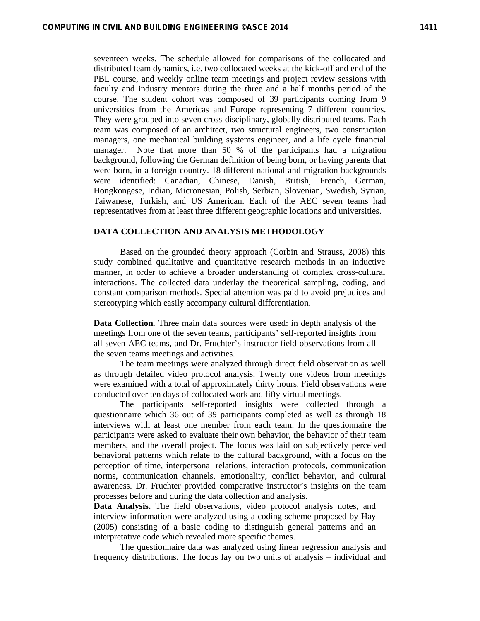seventeen weeks. The schedule allowed for comparisons of the collocated and distributed team dynamics, i.e. two collocated weeks at the kick-off and end of the PBL course, and weekly online team meetings and project review sessions with faculty and industry mentors during the three and a half months period of the course. The student cohort was composed of 39 participants coming from 9 universities from the Americas and Europe representing 7 different countries. They were grouped into seven cross-disciplinary, globally distributed teams. Each team was composed of an architect, two structural engineers, two construction managers, one mechanical building systems engineer, and a life cycle financial manager. Note that more than 50 % of the participants had a migration background, following the German definition of being born, or having parents that were born, in a foreign country. 18 different national and migration backgrounds were identified: Canadian, Chinese, Danish, British, French, German, Hongkongese, Indian, Micronesian, Polish, Serbian, Slovenian, Swedish, Syrian, Taiwanese, Turkish, and US American. Each of the AEC seven teams had representatives from at least three different geographic locations and universities.

#### **DATA COLLECTION AND ANALYSIS METHODOLOGY**

Based on the grounded theory approach (Corbin and Strauss, 2008) this study combined qualitative and quantitative research methods in an inductive manner, in order to achieve a broader understanding of complex cross-cultural interactions. The collected data underlay the theoretical sampling, coding, and constant comparison methods. Special attention was paid to avoid prejudices and stereotyping which easily accompany cultural differentiation.

**Data Collection***.* Three main data sources were used: in depth analysis of the meetings from one of the seven teams, participants' self-reported insights from all seven AEC teams, and Dr. Fruchter's instructor field observations from all the seven teams meetings and activities.

The team meetings were analyzed through direct field observation as well as through detailed video protocol analysis. Twenty one videos from meetings were examined with a total of approximately thirty hours. Field observations were conducted over ten days of collocated work and fifty virtual meetings.

The participants self-reported insights were collected through a questionnaire which 36 out of 39 participants completed as well as through 18 interviews with at least one member from each team. In the questionnaire the participants were asked to evaluate their own behavior, the behavior of their team members, and the overall project. The focus was laid on subjectively perceived behavioral patterns which relate to the cultural background, with a focus on the perception of time, interpersonal relations, interaction protocols, communication norms, communication channels, emotionality, conflict behavior, and cultural awareness. Dr. Fruchter provided comparative instructor's insights on the team processes before and during the data collection and analysis.

**Data Analysis.** The field observations, video protocol analysis notes, and interview information were analyzed using a coding scheme proposed by Hay (2005) consisting of a basic coding to distinguish general patterns and an interpretative code which revealed more specific themes.

The questionnaire data was analyzed using linear regression analysis and frequency distributions. The focus lay on two units of analysis – individual and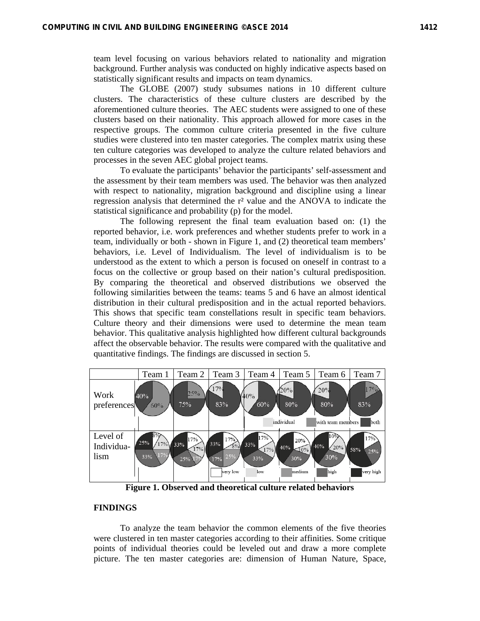team level focusing on various behaviors related to nationality and migration background. Further analysis was conducted on highly indicative aspects based on statistically significant results and impacts on team dynamics.

The GLOBE (2007) study subsumes nations in 10 different culture clusters. The characteristics of these culture clusters are described by the aforementioned culture theories. The AEC students were assigned to one of these clusters based on their nationality. This approach allowed for more cases in the respective groups. The common culture criteria presented in the five culture studies were clustered into ten master categories. The complex matrix using these ten culture categories was developed to analyze the culture related behaviors and processes in the seven AEC global project teams.

To evaluate the participants' behavior the participants' self-assessment and the assessment by their team members was used. The behavior was then analyzed with respect to nationality, migration background and discipline using a linear regression analysis that determined the r² value and the ANOVA to indicate the statistical significance and probability (p) for the model.

The following represent the final team evaluation based on: (1) the reported behavior, i.e. work preferences and whether students prefer to work in a team, individually or both - shown in Figure 1, and (2) theoretical team members' behaviors, i.e. Level of Individualism. The level of individualism is to be understood as the extent to which a person is focused on oneself in contrast to a focus on the collective or group based on their nation's cultural predisposition. By comparing the theoretical and observed distributions we observed the following similarities between the teams: teams 5 and 6 have an almost identical distribution in their cultural predisposition and in the actual reported behaviors. This shows that specific team constellations result in specific team behaviors. Culture theory and their dimensions were used to determine the mean team behavior. This qualitative analysis highlighted how different cultural backgrounds affect the observable behavior. The results were compared with the qualitative and quantitative findings. The findings are discussed in section 5.



**Figure 1. Observed and theoretical culture related behaviors** 

### **FINDINGS**

To analyze the team behavior the common elements of the five theories were clustered in ten master categories according to their affinities. Some critique points of individual theories could be leveled out and draw a more complete picture. The ten master categories are: dimension of Human Nature, Space,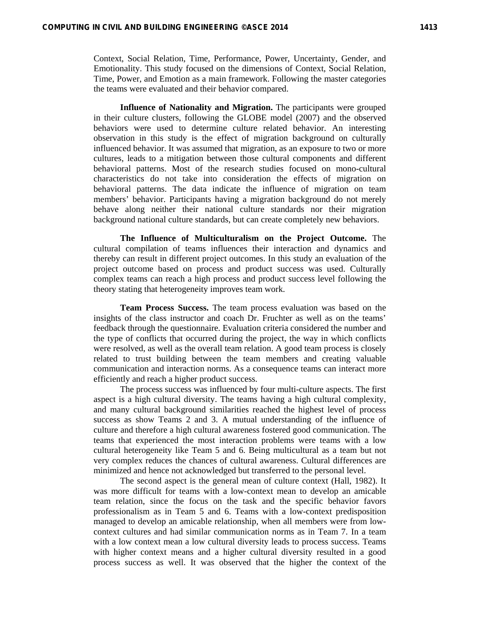Context, Social Relation, Time, Performance, Power, Uncertainty, Gender, and Emotionality. This study focused on the dimensions of Context, Social Relation, Time, Power, and Emotion as a main framework. Following the master categories the teams were evaluated and their behavior compared.

**Influence of Nationality and Migration.** The participants were grouped in their culture clusters, following the GLOBE model (2007) and the observed behaviors were used to determine culture related behavior. An interesting observation in this study is the effect of migration background on culturally influenced behavior. It was assumed that migration, as an exposure to two or more cultures, leads to a mitigation between those cultural components and different behavioral patterns. Most of the research studies focused on mono-cultural characteristics do not take into consideration the effects of migration on behavioral patterns. The data indicate the influence of migration on team members' behavior. Participants having a migration background do not merely behave along neither their national culture standards nor their migration background national culture standards, but can create completely new behaviors.

**The Influence of Multiculturalism on the Project Outcome.** The cultural compilation of teams influences their interaction and dynamics and thereby can result in different project outcomes. In this study an evaluation of the project outcome based on process and product success was used. Culturally complex teams can reach a high process and product success level following the theory stating that heterogeneity improves team work.

**Team Process Success.** The team process evaluation was based on the insights of the class instructor and coach Dr. Fruchter as well as on the teams' feedback through the questionnaire. Evaluation criteria considered the number and the type of conflicts that occurred during the project, the way in which conflicts were resolved, as well as the overall team relation. A good team process is closely related to trust building between the team members and creating valuable communication and interaction norms. As a consequence teams can interact more efficiently and reach a higher product success.

The process success was influenced by four multi-culture aspects. The first aspect is a high cultural diversity. The teams having a high cultural complexity, and many cultural background similarities reached the highest level of process success as show Teams 2 and 3. A mutual understanding of the influence of culture and therefore a high cultural awareness fostered good communication. The teams that experienced the most interaction problems were teams with a low cultural heterogeneity like Team 5 and 6. Being multicultural as a team but not very complex reduces the chances of cultural awareness. Cultural differences are minimized and hence not acknowledged but transferred to the personal level.

The second aspect is the general mean of culture context (Hall, 1982). It was more difficult for teams with a low-context mean to develop an amicable team relation, since the focus on the task and the specific behavior favors professionalism as in Team 5 and 6. Teams with a low-context predisposition managed to develop an amicable relationship, when all members were from lowcontext cultures and had similar communication norms as in Team 7. In a team with a low context mean a low cultural diversity leads to process success. Teams with higher context means and a higher cultural diversity resulted in a good process success as well. It was observed that the higher the context of the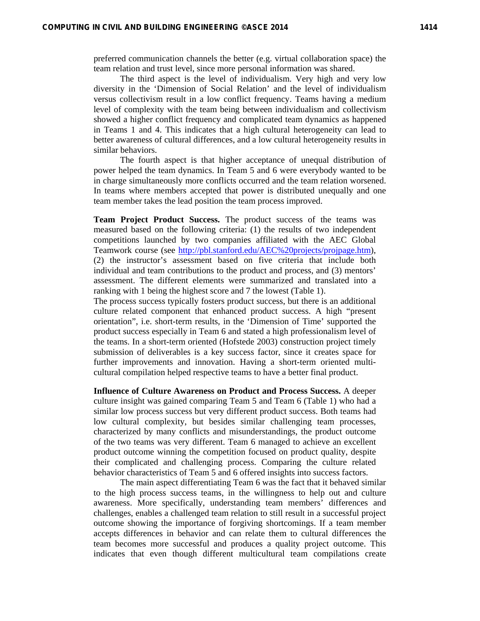preferred communication channels the better (e.g. virtual collaboration space) the team relation and trust level, since more personal information was shared.

The third aspect is the level of individualism. Very high and very low diversity in the 'Dimension of Social Relation' and the level of individualism versus collectivism result in a low conflict frequency. Teams having a medium level of complexity with the team being between individualism and collectivism showed a higher conflict frequency and complicated team dynamics as happened in Teams 1 and 4. This indicates that a high cultural heterogeneity can lead to better awareness of cultural differences, and a low cultural heterogeneity results in similar behaviors.

The fourth aspect is that higher acceptance of unequal distribution of power helped the team dynamics. In Team 5 and 6 were everybody wanted to be in charge simultaneously more conflicts occurred and the team relation worsened. In teams where members accepted that power is distributed unequally and one team member takes the lead position the team process improved.

**Team Project Product Success.** The product success of the teams was measured based on the following criteria: (1) the results of two independent competitions launched by two companies affiliated with the AEC Global Teamwork course (see http://pbl.stanford.edu/AEC%20projects/projpage.htm), (2) the instructor's assessment based on five criteria that include both individual and team contributions to the product and process, and (3) mentors' assessment. The different elements were summarized and translated into a ranking with 1 being the highest score and 7 the lowest (Table 1).

The process success typically fosters product success, but there is an additional culture related component that enhanced product success. A high "present orientation", i.e. short-term results, in the 'Dimension of Time' supported the product success especially in Team 6 and stated a high professionalism level of the teams. In a short-term oriented (Hofstede 2003) construction project timely submission of deliverables is a key success factor, since it creates space for further improvements and innovation. Having a short-term oriented multicultural compilation helped respective teams to have a better final product.

**Influence of Culture Awareness on Product and Process Success.** A deeper culture insight was gained comparing Team 5 and Team 6 (Table 1) who had a similar low process success but very different product success. Both teams had low cultural complexity, but besides similar challenging team processes, characterized by many conflicts and misunderstandings, the product outcome of the two teams was very different. Team 6 managed to achieve an excellent product outcome winning the competition focused on product quality, despite their complicated and challenging process. Comparing the culture related behavior characteristics of Team 5 and 6 offered insights into success factors.

The main aspect differentiating Team 6 was the fact that it behaved similar to the high process success teams, in the willingness to help out and culture awareness. More specifically, understanding team members' differences and challenges, enables a challenged team relation to still result in a successful project outcome showing the importance of forgiving shortcomings. If a team member accepts differences in behavior and can relate them to cultural differences the team becomes more successful and produces a quality project outcome. This indicates that even though different multicultural team compilations create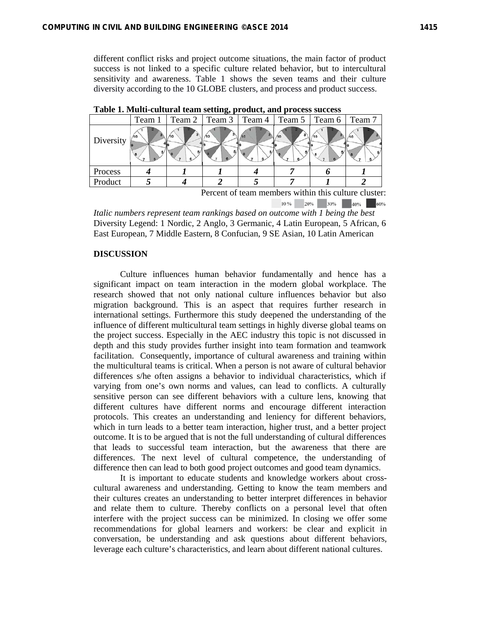different conflict risks and project outcome situations, the main factor of product success is not linked to a specific culture related behavior, but to intercultural sensitivity and awareness. Table 1 shows the seven teams and their culture diversity according to the 10 GLOBE clusters, and process and product success.

|                                                      | Team 1                   | Team 2 | Team 3         | Team 4 | Team 5     | Team 6 | Team 7     |
|------------------------------------------------------|--------------------------|--------|----------------|--------|------------|--------|------------|
| Diversity                                            | /10<br>長<br>$\mathbf{R}$ | ٨o     | A <sub>0</sub> | 40     | A0         | (10)   | 40         |
| Process                                              |                          |        |                |        |            |        |            |
| Product                                              | 5                        |        |                |        |            |        |            |
| Percent of team members within this culture cluster: |                          |        |                |        |            |        |            |
|                                                      |                          |        |                |        | 10%<br>20% | 30%    | 60%<br>40% |

**Table 1. Multi-cultural team setting, product, and process success** 

*Italic numbers represent team rankings based on outcome with 1 being the best*  Diversity Legend: 1 Nordic, 2 Anglo, 3 Germanic, 4 Latin European, 5 African, 6 East European, 7 Middle Eastern, 8 Confucian, 9 SE Asian, 10 Latin American

## **DISCUSSION**

Culture influences human behavior fundamentally and hence has a significant impact on team interaction in the modern global workplace. The research showed that not only national culture influences behavior but also migration background. This is an aspect that requires further research in international settings. Furthermore this study deepened the understanding of the influence of different multicultural team settings in highly diverse global teams on the project success. Especially in the AEC industry this topic is not discussed in depth and this study provides further insight into team formation and teamwork facilitation. Consequently, importance of cultural awareness and training within the multicultural teams is critical. When a person is not aware of cultural behavior differences s/he often assigns a behavior to individual characteristics, which if varying from one's own norms and values, can lead to conflicts. A culturally sensitive person can see different behaviors with a culture lens, knowing that different cultures have different norms and encourage different interaction protocols. This creates an understanding and leniency for different behaviors, which in turn leads to a better team interaction, higher trust, and a better project outcome. It is to be argued that is not the full understanding of cultural differences that leads to successful team interaction, but the awareness that there are differences. The next level of cultural competence, the understanding of difference then can lead to both good project outcomes and good team dynamics.

It is important to educate students and knowledge workers about crosscultural awareness and understanding. Getting to know the team members and their cultures creates an understanding to better interpret differences in behavior and relate them to culture. Thereby conflicts on a personal level that often interfere with the project success can be minimized. In closing we offer some recommendations for global learners and workers: be clear and explicit in conversation, be understanding and ask questions about different behaviors, leverage each culture's characteristics, and learn about different national cultures.